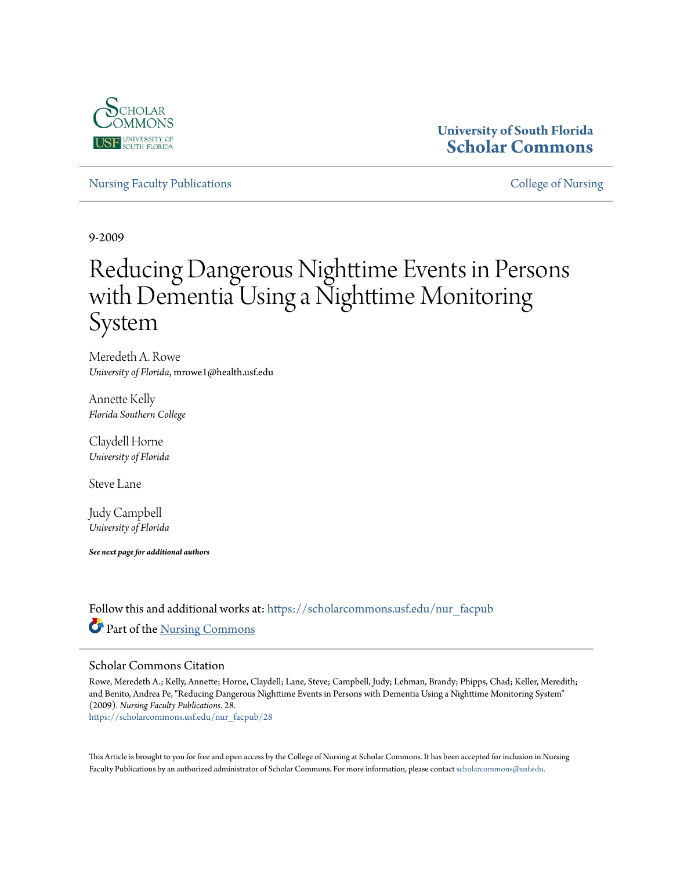

# **University of South Florida [Scholar Commons](https://scholarcommons.usf.edu?utm_source=scholarcommons.usf.edu%2Fnur_facpub%2F28&utm_medium=PDF&utm_campaign=PDFCoverPages)**

[Nursing Faculty Publications](https://scholarcommons.usf.edu/nur_facpub?utm_source=scholarcommons.usf.edu%2Fnur_facpub%2F28&utm_medium=PDF&utm_campaign=PDFCoverPages) **[College of Nursing](https://scholarcommons.usf.edu/nur?utm_source=scholarcommons.usf.edu%2Fnur_facpub%2F28&utm_medium=PDF&utm_campaign=PDFCoverPages)** College of Nursing

9-2009

# Reducing Dangerous Nighttime Events in Persons with Dementia Using a Nighttime Monitoring System

Meredeth A. Rowe *University of Florida*, mrowe1@health.usf.edu

Annette Kelly *Florida Southern College*

Claydell Horne *University of Florida*

Steve Lane

Judy Campbell *University of Florida*

*See next page for additional authors*

Follow this and additional works at: [https://scholarcommons.usf.edu/nur\\_facpub](https://scholarcommons.usf.edu/nur_facpub?utm_source=scholarcommons.usf.edu%2Fnur_facpub%2F28&utm_medium=PDF&utm_campaign=PDFCoverPages) Part of the [Nursing Commons](http://network.bepress.com/hgg/discipline/718?utm_source=scholarcommons.usf.edu%2Fnur_facpub%2F28&utm_medium=PDF&utm_campaign=PDFCoverPages)

# Scholar Commons Citation

Rowe, Meredeth A.; Kelly, Annette; Horne, Claydell; Lane, Steve; Campbell, Judy; Lehman, Brandy; Phipps, Chad; Keller, Meredith; and Benito, Andrea Pe, "Reducing Dangerous Nighttime Events in Persons with Dementia Using a Nighttime Monitoring System" (2009). *Nursing Faculty Publications*. 28.

[https://scholarcommons.usf.edu/nur\\_facpub/28](https://scholarcommons.usf.edu/nur_facpub/28?utm_source=scholarcommons.usf.edu%2Fnur_facpub%2F28&utm_medium=PDF&utm_campaign=PDFCoverPages)

This Article is brought to you for free and open access by the College of Nursing at Scholar Commons. It has been accepted for inclusion in Nursing Faculty Publications by an authorized administrator of Scholar Commons. For more information, please contact [scholarcommons@usf.edu.](mailto:scholarcommons@usf.edu)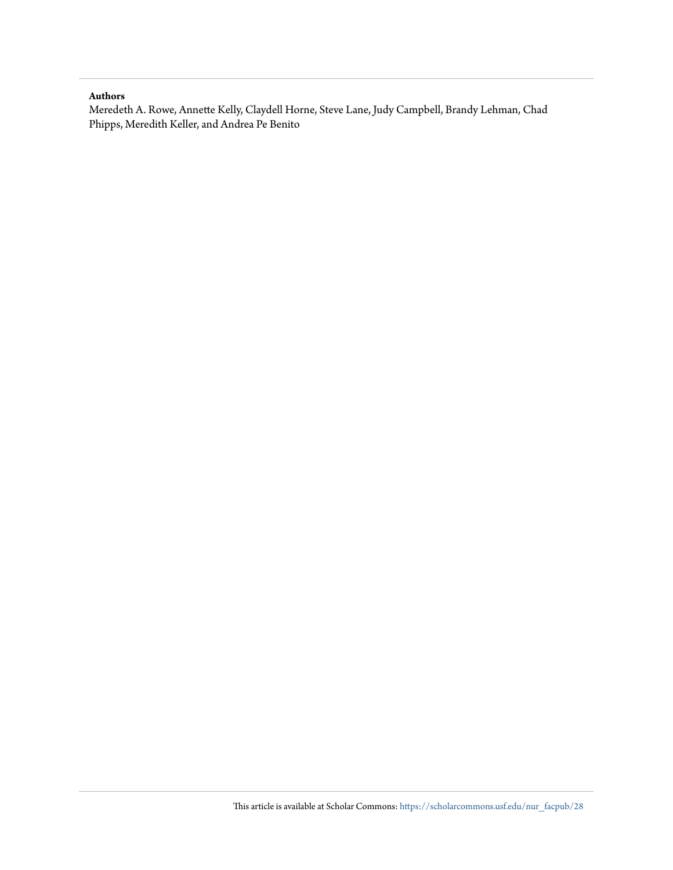# **Authors**

Meredeth A. Rowe, Annette Kelly, Claydell Horne, Steve Lane, Judy Campbell, Brandy Lehman, Chad Phipps, Meredith Keller, and Andrea Pe Benito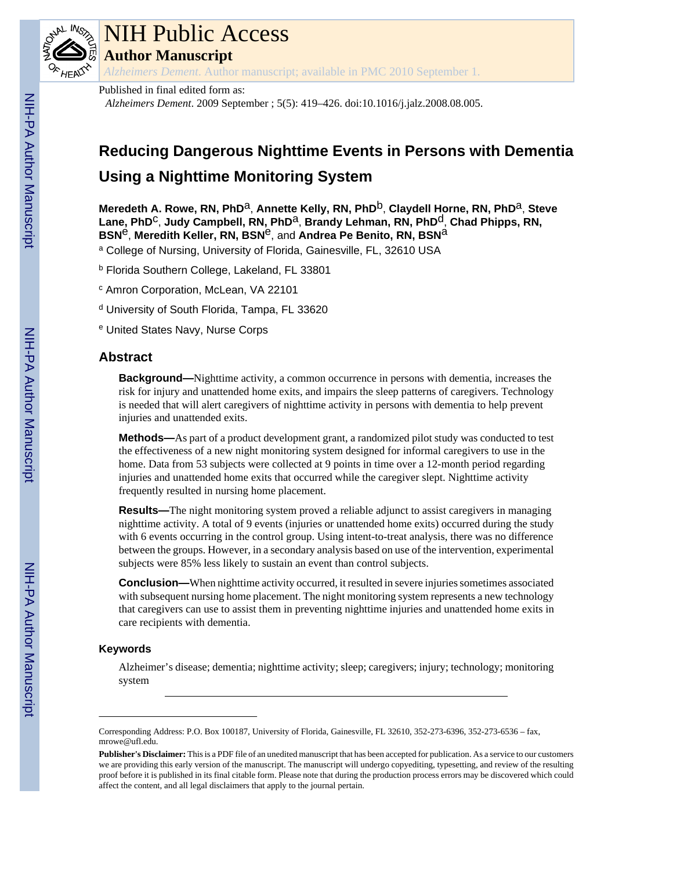

# NIH Public Access

**Author Manuscript**

*Alzheimers Dement*. Author manuscript; available in PMC 2010 September 1.

Published in final edited form as:

*Alzheimers Dement*. 2009 September ; 5(5): 419–426. doi:10.1016/j.jalz.2008.08.005.

# **Reducing Dangerous Nighttime Events in Persons with Dementia Using a Nighttime Monitoring System**

Meredeth A. Rowe, RN, PhD<sup>a</sup>, Annette Kelly, RN, PhD<sup>b</sup>, Claydell Horne, RN, PhD<sup>a</sup>, Steve Lane, PhD<sup>C</sup>, Judy Campbell, RN, PhD<sup>a</sup>, Brandy Lehman, RN, PhD<sup>d</sup>, Chad Phipps, RN, **BSN<sup>e</sup>, Meredith Keller, RN, BSN<sup>e</sup>, and Andrea Pe Benito, RN, BSN<sup>a</sup>** 

<sup>a</sup> College of Nursing, University of Florida, Gainesville, FL, 32610 USA

<sup>b</sup> Florida Southern College, Lakeland, FL 33801

<sup>c</sup> Amron Corporation, McLean, VA 22101

<sup>d</sup> University of South Florida, Tampa, FL 33620

e United States Navy, Nurse Corps

# **Abstract**

**Background—**Nighttime activity, a common occurrence in persons with dementia, increases the risk for injury and unattended home exits, and impairs the sleep patterns of caregivers. Technology is needed that will alert caregivers of nighttime activity in persons with dementia to help prevent injuries and unattended exits.

**Methods—**As part of a product development grant, a randomized pilot study was conducted to test the effectiveness of a new night monitoring system designed for informal caregivers to use in the home. Data from 53 subjects were collected at 9 points in time over a 12-month period regarding injuries and unattended home exits that occurred while the caregiver slept. Nighttime activity frequently resulted in nursing home placement.

**Results—**The night monitoring system proved a reliable adjunct to assist caregivers in managing nighttime activity. A total of 9 events (injuries or unattended home exits) occurred during the study with 6 events occurring in the control group. Using intent-to-treat analysis, there was no difference between the groups. However, in a secondary analysis based on use of the intervention, experimental subjects were 85% less likely to sustain an event than control subjects.

**Conclusion—**When nighttime activity occurred, it resulted in severe injuries sometimes associated with subsequent nursing home placement. The night monitoring system represents a new technology that caregivers can use to assist them in preventing nighttime injuries and unattended home exits in care recipients with dementia.

# **Keywords**

Alzheimer's disease; dementia; nighttime activity; sleep; caregivers; injury; technology; monitoring system

Corresponding Address: P.O. Box 100187, University of Florida, Gainesville, FL 32610, 352-273-6396, 352-273-6536 – fax, mrowe@ufl.edu.

**Publisher's Disclaimer:** This is a PDF file of an unedited manuscript that has been accepted for publication. As a service to our customers we are providing this early version of the manuscript. The manuscript will undergo copyediting, typesetting, and review of the resulting proof before it is published in its final citable form. Please note that during the production process errors may be discovered which could affect the content, and all legal disclaimers that apply to the journal pertain.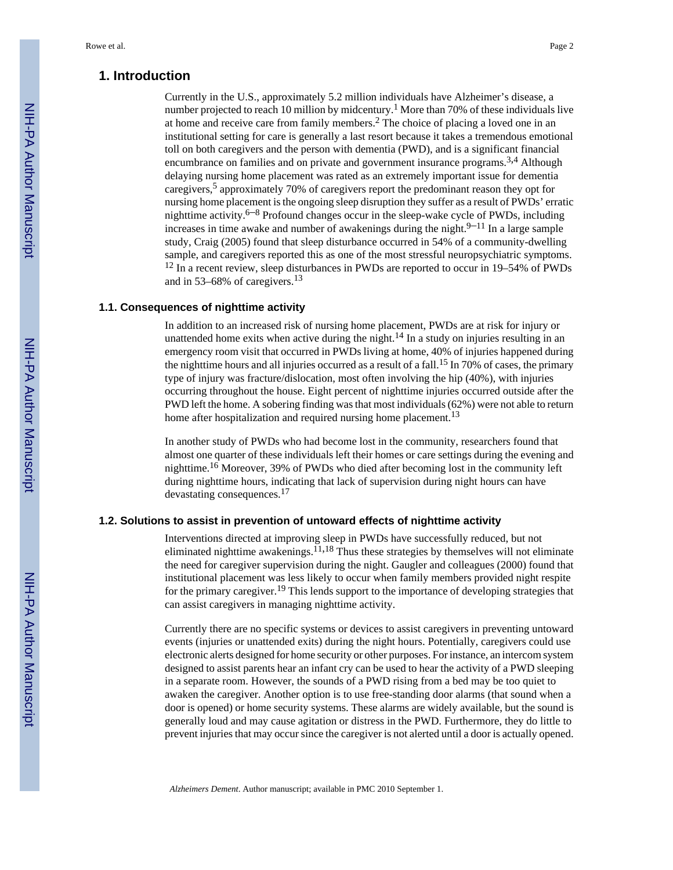# **1. Introduction**

Currently in the U.S., approximately 5.2 million individuals have Alzheimer's disease, a number projected to reach 10 million by midcentury.<sup>1</sup> More than 70% of these individuals live at home and receive care from family members.<sup>2</sup> The choice of placing a loved one in an institutional setting for care is generally a last resort because it takes a tremendous emotional toll on both caregivers and the person with dementia (PWD), and is a significant financial encumbrance on families and on private and government insurance programs.<sup>3,4</sup> Although delaying nursing home placement was rated as an extremely important issue for dementia caregivers,<sup>5</sup> approximately 70% of caregivers report the predominant reason they opt for nursing home placement is the ongoing sleep disruption they suffer as a result of PWDs' erratic nighttime activity.<sup>6–8</sup> Profound changes occur in the sleep-wake cycle of PWDs, including increases in time awake and number of awakenings during the night. $9-11$  In a large sample study, Craig (2005) found that sleep disturbance occurred in 54% of a community-dwelling sample, and caregivers reported this as one of the most stressful neuropsychiatric symptoms. <sup>12</sup> In a recent review, sleep disturbances in PWDs are reported to occur in 19–54% of PWDs and in 53–68% of caregivers.<sup>13</sup>

### **1.1. Consequences of nighttime activity**

In addition to an increased risk of nursing home placement, PWDs are at risk for injury or unattended home exits when active during the night.<sup>14</sup> In a study on injuries resulting in an emergency room visit that occurred in PWDs living at home, 40% of injuries happened during the nighttime hours and all injuries occurred as a result of a fall.<sup>15</sup> In 70% of cases, the primary type of injury was fracture/dislocation, most often involving the hip (40%), with injuries occurring throughout the house. Eight percent of nighttime injuries occurred outside after the PWD left the home. A sobering finding was that most individuals (62%) were not able to return home after hospitalization and required nursing home placement.<sup>13</sup>

In another study of PWDs who had become lost in the community, researchers found that almost one quarter of these individuals left their homes or care settings during the evening and nighttime.16 Moreover, 39% of PWDs who died after becoming lost in the community left during nighttime hours, indicating that lack of supervision during night hours can have devastating consequences.<sup>17</sup>

## **1.2. Solutions to assist in prevention of untoward effects of nighttime activity**

Interventions directed at improving sleep in PWDs have successfully reduced, but not eliminated nighttime awakenings.<sup>11,18</sup> Thus these strategies by themselves will not eliminate the need for caregiver supervision during the night. Gaugler and colleagues (2000) found that institutional placement was less likely to occur when family members provided night respite for the primary caregiver.<sup>19</sup> This lends support to the importance of developing strategies that can assist caregivers in managing nighttime activity.

Currently there are no specific systems or devices to assist caregivers in preventing untoward events (injuries or unattended exits) during the night hours. Potentially, caregivers could use electronic alerts designed for home security or other purposes. For instance, an intercom system designed to assist parents hear an infant cry can be used to hear the activity of a PWD sleeping in a separate room. However, the sounds of a PWD rising from a bed may be too quiet to awaken the caregiver. Another option is to use free-standing door alarms (that sound when a door is opened) or home security systems. These alarms are widely available, but the sound is generally loud and may cause agitation or distress in the PWD. Furthermore, they do little to prevent injuries that may occur since the caregiver is not alerted until a door is actually opened.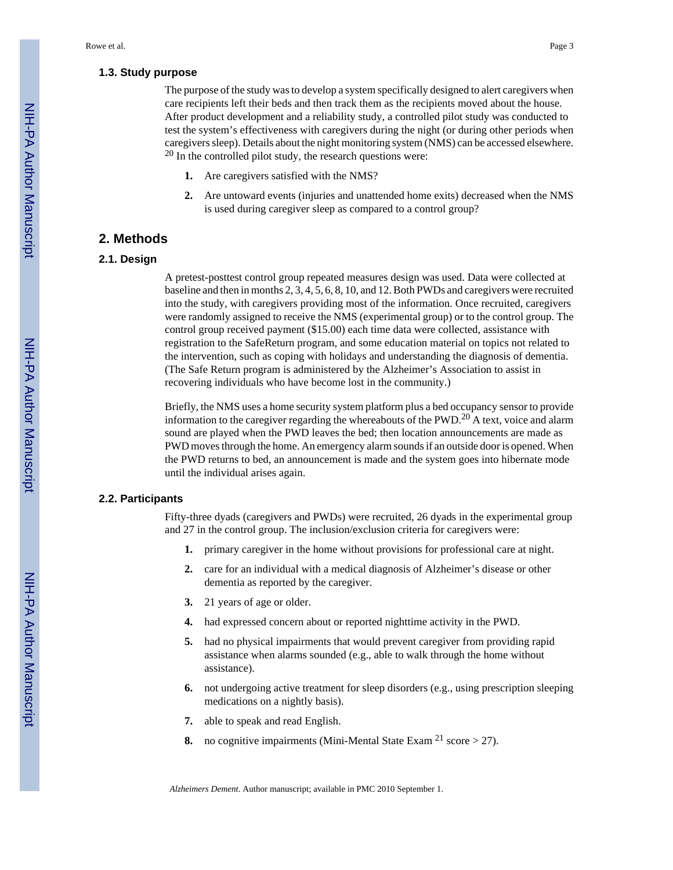#### **1.3. Study purpose**

The purpose of the study was to develop a system specifically designed to alert caregivers when care recipients left their beds and then track them as the recipients moved about the house. After product development and a reliability study, a controlled pilot study was conducted to test the system's effectiveness with caregivers during the night (or during other periods when caregivers sleep). Details about the night monitoring system (NMS) can be accessed elsewhere.  $20$  In the controlled pilot study, the research questions were:

- **1.** Are caregivers satisfied with the NMS?
- **2.** Are untoward events (injuries and unattended home exits) decreased when the NMS is used during caregiver sleep as compared to a control group?

# **2. Methods**

# **2.1. Design**

A pretest-posttest control group repeated measures design was used. Data were collected at baseline and then in months 2, 3, 4, 5, 6, 8, 10, and 12. Both PWDs and caregivers were recruited into the study, with caregivers providing most of the information. Once recruited, caregivers were randomly assigned to receive the NMS (experimental group) or to the control group. The control group received payment (\$15.00) each time data were collected, assistance with registration to the SafeReturn program, and some education material on topics not related to the intervention, such as coping with holidays and understanding the diagnosis of dementia. (The Safe Return program is administered by the Alzheimer's Association to assist in recovering individuals who have become lost in the community.)

Briefly, the NMS uses a home security system platform plus a bed occupancy sensor to provide information to the caregiver regarding the whereabouts of the PWD.<sup>20</sup> A text, voice and alarm sound are played when the PWD leaves the bed; then location announcements are made as PWD moves through the home. An emergency alarm sounds if an outside door is opened. When the PWD returns to bed, an announcement is made and the system goes into hibernate mode until the individual arises again.

# **2.2. Participants**

Fifty-three dyads (caregivers and PWDs) were recruited, 26 dyads in the experimental group and 27 in the control group. The inclusion/exclusion criteria for caregivers were:

- **1.** primary caregiver in the home without provisions for professional care at night.
- **2.** care for an individual with a medical diagnosis of Alzheimer's disease or other dementia as reported by the caregiver.
- **3.** 21 years of age or older.
- **4.** had expressed concern about or reported nighttime activity in the PWD.
- **5.** had no physical impairments that would prevent caregiver from providing rapid assistance when alarms sounded (e.g., able to walk through the home without assistance).
- **6.** not undergoing active treatment for sleep disorders (e.g., using prescription sleeping medications on a nightly basis).
- **7.** able to speak and read English.
- **8.** no cognitive impairments (Mini-Mental State Exam  $2^1$  score  $> 27$ ).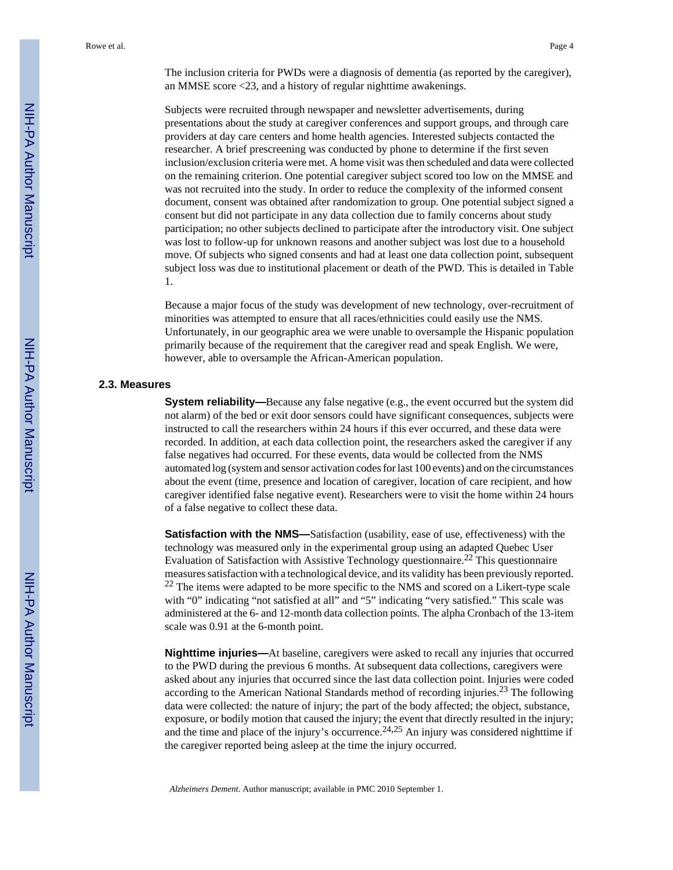The inclusion criteria for PWDs were a diagnosis of dementia (as reported by the caregiver), an MMSE score <23, and a history of regular nighttime awakenings.

Subjects were recruited through newspaper and newsletter advertisements, during presentations about the study at caregiver conferences and support groups, and through care providers at day care centers and home health agencies. Interested subjects contacted the researcher. A brief prescreening was conducted by phone to determine if the first seven inclusion/exclusion criteria were met. A home visit was then scheduled and data were collected on the remaining criterion. One potential caregiver subject scored too low on the MMSE and was not recruited into the study. In order to reduce the complexity of the informed consent document, consent was obtained after randomization to group. One potential subject signed a consent but did not participate in any data collection due to family concerns about study participation; no other subjects declined to participate after the introductory visit. One subject was lost to follow-up for unknown reasons and another subject was lost due to a household move. Of subjects who signed consents and had at least one data collection point, subsequent subject loss was due to institutional placement or death of the PWD. This is detailed in Table 1.

Because a major focus of the study was development of new technology, over-recruitment of minorities was attempted to ensure that all races/ethnicities could easily use the NMS. Unfortunately, in our geographic area we were unable to oversample the Hispanic population primarily because of the requirement that the caregiver read and speak English. We were, however, able to oversample the African-American population.

#### **2.3. Measures**

**System reliability—**Because any false negative (e.g., the event occurred but the system did not alarm) of the bed or exit door sensors could have significant consequences, subjects were instructed to call the researchers within 24 hours if this ever occurred, and these data were recorded. In addition, at each data collection point, the researchers asked the caregiver if any false negatives had occurred. For these events, data would be collected from the NMS automated log (system and sensor activation codes for last 100 events) and on the circumstances about the event (time, presence and location of caregiver, location of care recipient, and how caregiver identified false negative event). Researchers were to visit the home within 24 hours of a false negative to collect these data.

**Satisfaction with the NMS—**Satisfaction (usability, ease of use, effectiveness) with the technology was measured only in the experimental group using an adapted Quebec User Evaluation of Satisfaction with Assistive Technology questionnaire.<sup>22</sup> This questionnaire measures satisfaction with a technological device, and its validity has been previously reported. <sup>22</sup> The items were adapted to be more specific to the NMS and scored on a Likert-type scale with "0" indicating "not satisfied at all" and "5" indicating "very satisfied." This scale was administered at the 6- and 12-month data collection points. The alpha Cronbach of the 13-item scale was 0.91 at the 6-month point.

**Nighttime injuries—**At baseline, caregivers were asked to recall any injuries that occurred to the PWD during the previous 6 months. At subsequent data collections, caregivers were asked about any injuries that occurred since the last data collection point. Injuries were coded according to the American National Standards method of recording injuries.<sup>23</sup> The following data were collected: the nature of injury; the part of the body affected; the object, substance, exposure, or bodily motion that caused the injury; the event that directly resulted in the injury; and the time and place of the injury's occurrence.<sup>24,25</sup> An injury was considered nighttime if the caregiver reported being asleep at the time the injury occurred.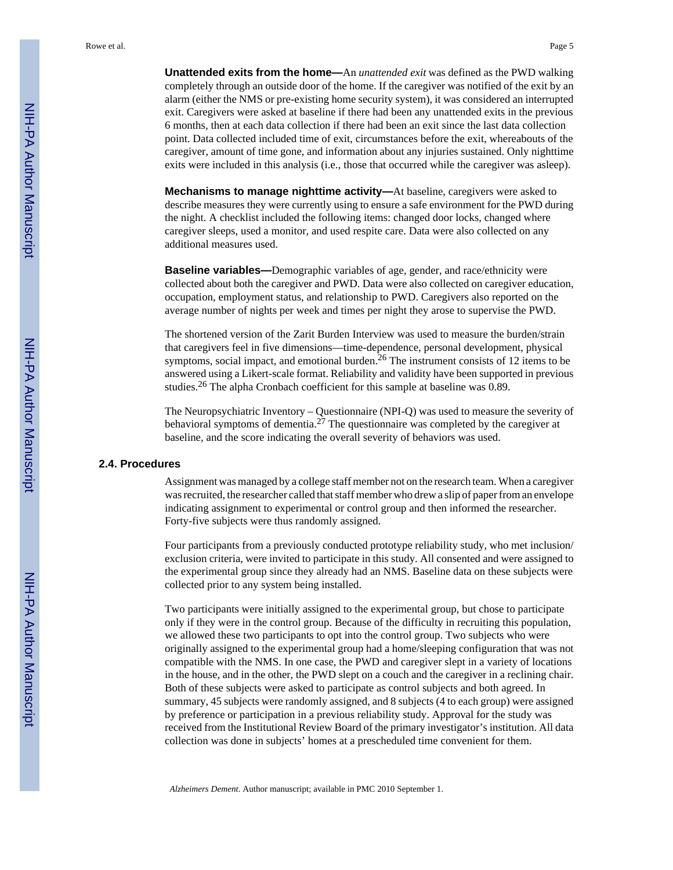**Unattended exits from the home—**An *unattended exit* was defined as the PWD walking completely through an outside door of the home. If the caregiver was notified of the exit by an alarm (either the NMS or pre-existing home security system), it was considered an interrupted exit. Caregivers were asked at baseline if there had been any unattended exits in the previous 6 months, then at each data collection if there had been an exit since the last data collection point. Data collected included time of exit, circumstances before the exit, whereabouts of the caregiver, amount of time gone, and information about any injuries sustained. Only nighttime exits were included in this analysis (i.e., those that occurred while the caregiver was asleep).

**Mechanisms to manage nighttime activity—**At baseline, caregivers were asked to describe measures they were currently using to ensure a safe environment for the PWD during the night. A checklist included the following items: changed door locks, changed where caregiver sleeps, used a monitor, and used respite care. Data were also collected on any additional measures used.

**Baseline variables—**Demographic variables of age, gender, and race/ethnicity were collected about both the caregiver and PWD. Data were also collected on caregiver education, occupation, employment status, and relationship to PWD. Caregivers also reported on the average number of nights per week and times per night they arose to supervise the PWD.

The shortened version of the Zarit Burden Interview was used to measure the burden/strain that caregivers feel in five dimensions—time-dependence, personal development, physical symptoms, social impact, and emotional burden.<sup>26</sup> The instrument consists of 12 items to be answered using a Likert-scale format. Reliability and validity have been supported in previous studies.26 The alpha Cronbach coefficient for this sample at baseline was 0.89.

The Neuropsychiatric Inventory – Questionnaire (NPI-Q) was used to measure the severity of behavioral symptoms of dementia.27 The questionnaire was completed by the caregiver at baseline, and the score indicating the overall severity of behaviors was used.

### **2.4. Procedures**

Assignment was managed by a college staff member not on the research team. When a caregiver was recruited, the researcher called that staff member who drew a slip of paper from an envelope indicating assignment to experimental or control group and then informed the researcher. Forty-five subjects were thus randomly assigned.

Four participants from a previously conducted prototype reliability study, who met inclusion/ exclusion criteria, were invited to participate in this study. All consented and were assigned to the experimental group since they already had an NMS. Baseline data on these subjects were collected prior to any system being installed.

Two participants were initially assigned to the experimental group, but chose to participate only if they were in the control group. Because of the difficulty in recruiting this population, we allowed these two participants to opt into the control group. Two subjects who were originally assigned to the experimental group had a home/sleeping configuration that was not compatible with the NMS. In one case, the PWD and caregiver slept in a variety of locations in the house, and in the other, the PWD slept on a couch and the caregiver in a reclining chair. Both of these subjects were asked to participate as control subjects and both agreed. In summary, 45 subjects were randomly assigned, and 8 subjects (4 to each group) were assigned by preference or participation in a previous reliability study. Approval for the study was received from the Institutional Review Board of the primary investigator's institution. All data collection was done in subjects' homes at a prescheduled time convenient for them.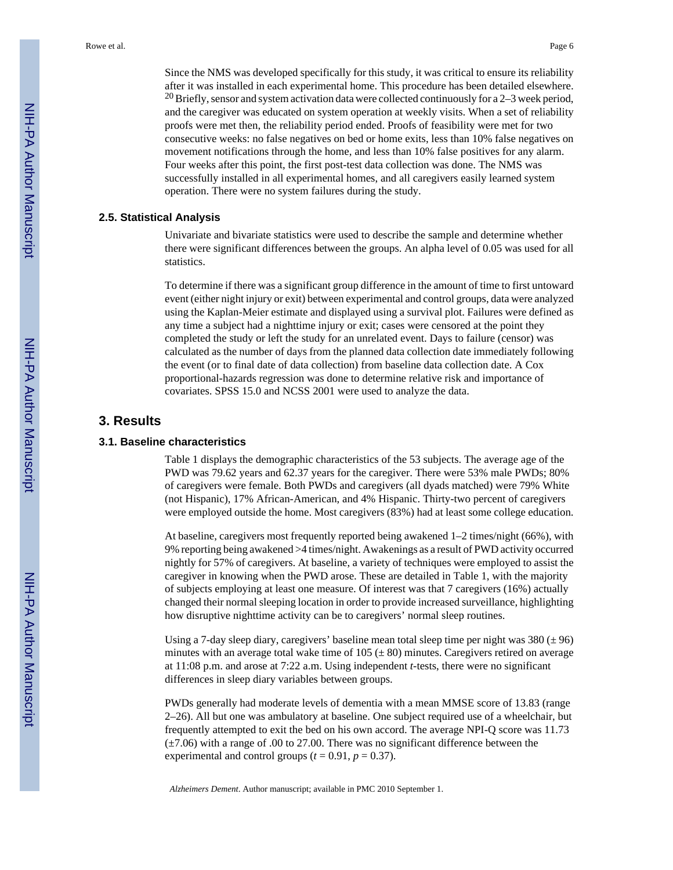Since the NMS was developed specifically for this study, it was critical to ensure its reliability after it was installed in each experimental home. This procedure has been detailed elsewhere. <sup>20</sup> Briefly, sensor and system activation data were collected continuously for a  $2-3$  week period, and the caregiver was educated on system operation at weekly visits. When a set of reliability proofs were met then, the reliability period ended. Proofs of feasibility were met for two consecutive weeks: no false negatives on bed or home exits, less than 10% false negatives on movement notifications through the home, and less than 10% false positives for any alarm. Four weeks after this point, the first post-test data collection was done. The NMS was successfully installed in all experimental homes, and all caregivers easily learned system operation. There were no system failures during the study.

#### **2.5. Statistical Analysis**

Univariate and bivariate statistics were used to describe the sample and determine whether there were significant differences between the groups. An alpha level of 0.05 was used for all statistics.

To determine if there was a significant group difference in the amount of time to first untoward event (either night injury or exit) between experimental and control groups, data were analyzed using the Kaplan-Meier estimate and displayed using a survival plot. Failures were defined as any time a subject had a nighttime injury or exit; cases were censored at the point they completed the study or left the study for an unrelated event. Days to failure (censor) was calculated as the number of days from the planned data collection date immediately following the event (or to final date of data collection) from baseline data collection date. A Cox proportional-hazards regression was done to determine relative risk and importance of covariates. SPSS 15.0 and NCSS 2001 were used to analyze the data.

# **3. Results**

#### **3.1. Baseline characteristics**

Table 1 displays the demographic characteristics of the 53 subjects. The average age of the PWD was 79.62 years and 62.37 years for the caregiver. There were 53% male PWDs; 80% of caregivers were female. Both PWDs and caregivers (all dyads matched) were 79% White (not Hispanic), 17% African-American, and 4% Hispanic. Thirty-two percent of caregivers were employed outside the home. Most caregivers (83%) had at least some college education.

At baseline, caregivers most frequently reported being awakened 1–2 times/night (66%), with 9% reporting being awakened >4 times/night. Awakenings as a result of PWD activity occurred nightly for 57% of caregivers. At baseline, a variety of techniques were employed to assist the caregiver in knowing when the PWD arose. These are detailed in Table 1, with the majority of subjects employing at least one measure. Of interest was that 7 caregivers (16%) actually changed their normal sleeping location in order to provide increased surveillance, highlighting how disruptive nighttime activity can be to caregivers' normal sleep routines.

Using a 7-day sleep diary, caregivers' baseline mean total sleep time per night was  $380 \pm 96$ ) minutes with an average total wake time of  $105 (\pm 80)$  minutes. Caregivers retired on average at 11:08 p.m. and arose at 7:22 a.m. Using independent *t*-tests, there were no significant differences in sleep diary variables between groups.

PWDs generally had moderate levels of dementia with a mean MMSE score of 13.83 (range 2–26). All but one was ambulatory at baseline. One subject required use of a wheelchair, but frequently attempted to exit the bed on his own accord. The average NPI-Q score was 11.73  $(\pm 7.06)$  with a range of .00 to 27.00. There was no significant difference between the experimental and control groups  $(t = 0.91, p = 0.37)$ .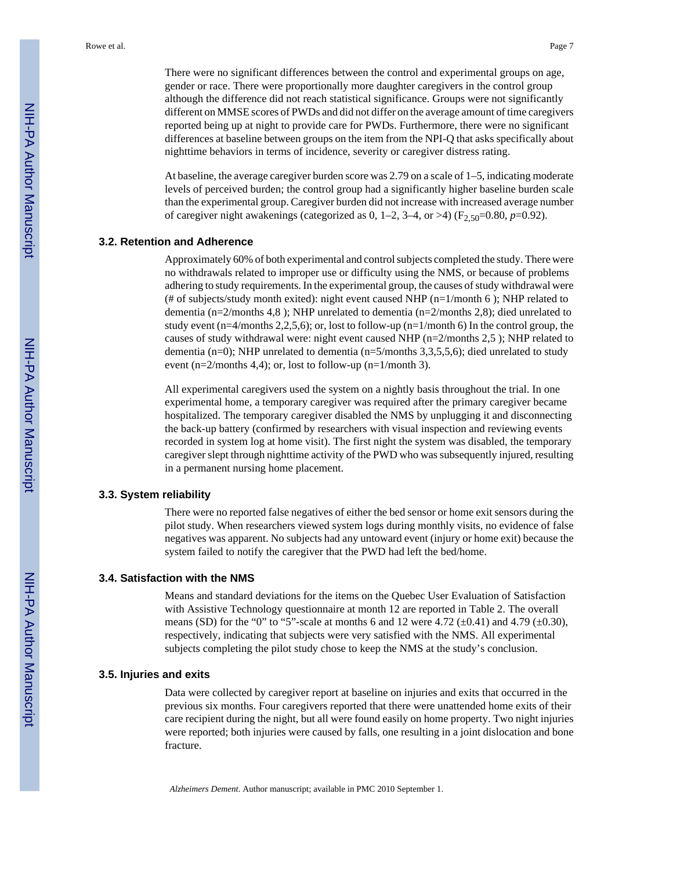There were no significant differences between the control and experimental groups on age, gender or race. There were proportionally more daughter caregivers in the control group although the difference did not reach statistical significance. Groups were not significantly different on MMSE scores of PWDs and did not differ on the average amount of time caregivers reported being up at night to provide care for PWDs. Furthermore, there were no significant differences at baseline between groups on the item from the NPI-Q that asks specifically about nighttime behaviors in terms of incidence, severity or caregiver distress rating.

At baseline, the average caregiver burden score was 2.79 on a scale of 1–5, indicating moderate levels of perceived burden; the control group had a significantly higher baseline burden scale than the experimental group. Caregiver burden did not increase with increased average number of caregiver night awakenings (categorized as 0,  $1-2$ ,  $3-4$ , or  $>4$ ) ( $F_{2,50}=0.80$ ,  $p=0.92$ ).

# **3.2. Retention and Adherence**

Approximately 60% of both experimental and control subjects completed the study. There were no withdrawals related to improper use or difficulty using the NMS, or because of problems adhering to study requirements. In the experimental group, the causes of study withdrawal were (# of subjects/study month exited): night event caused NHP ( $n=1/m$ onth 6); NHP related to dementia (n=2/months 4,8 ); NHP unrelated to dementia (n=2/months 2,8); died unrelated to study event (n=4/months 2,2,5,6); or, lost to follow-up (n=1/month 6) In the control group, the causes of study withdrawal were: night event caused NHP (n=2/months 2,5 ); NHP related to dementia (n=0); NHP unrelated to dementia (n=5/months 3,3,5,5,6); died unrelated to study event  $(n=2/months 4,4)$ ; or, lost to follow-up  $(n=1/month 3)$ .

All experimental caregivers used the system on a nightly basis throughout the trial. In one experimental home, a temporary caregiver was required after the primary caregiver became hospitalized. The temporary caregiver disabled the NMS by unplugging it and disconnecting the back-up battery (confirmed by researchers with visual inspection and reviewing events recorded in system log at home visit). The first night the system was disabled, the temporary caregiver slept through nighttime activity of the PWD who was subsequently injured, resulting in a permanent nursing home placement.

## **3.3. System reliability**

There were no reported false negatives of either the bed sensor or home exit sensors during the pilot study. When researchers viewed system logs during monthly visits, no evidence of false negatives was apparent. No subjects had any untoward event (injury or home exit) because the system failed to notify the caregiver that the PWD had left the bed/home.

# **3.4. Satisfaction with the NMS**

Means and standard deviations for the items on the Quebec User Evaluation of Satisfaction with Assistive Technology questionnaire at month 12 are reported in Table 2. The overall means (SD) for the "0" to "5"-scale at months 6 and 12 were 4.72  $(\pm 0.41)$  and 4.79  $(\pm 0.30)$ , respectively, indicating that subjects were very satisfied with the NMS. All experimental subjects completing the pilot study chose to keep the NMS at the study's conclusion.

#### **3.5. Injuries and exits**

Data were collected by caregiver report at baseline on injuries and exits that occurred in the previous six months. Four caregivers reported that there were unattended home exits of their care recipient during the night, but all were found easily on home property. Two night injuries were reported; both injuries were caused by falls, one resulting in a joint dislocation and bone fracture.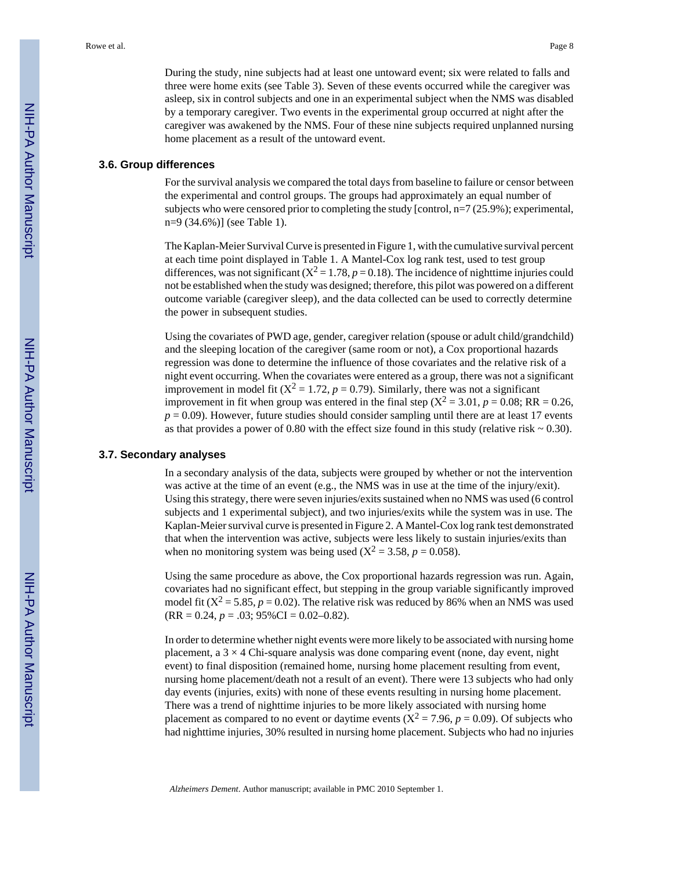During the study, nine subjects had at least one untoward event; six were related to falls and three were home exits (see Table 3). Seven of these events occurred while the caregiver was asleep, six in control subjects and one in an experimental subject when the NMS was disabled by a temporary caregiver. Two events in the experimental group occurred at night after the caregiver was awakened by the NMS. Four of these nine subjects required unplanned nursing home placement as a result of the untoward event.

#### **3.6. Group differences**

For the survival analysis we compared the total days from baseline to failure or censor between the experimental and control groups. The groups had approximately an equal number of subjects who were censored prior to completing the study [control,  $n=7$  (25.9%); experimental, n=9 (34.6%)] (see Table 1).

The Kaplan-Meier Survival Curve is presented in Figure 1, with the cumulative survival percent at each time point displayed in Table 1. A Mantel-Cox log rank test, used to test group differences, was not significant  $(X^2 = 1.78, p = 0.18)$ . The incidence of nighttime injuries could not be established when the study was designed; therefore, this pilot was powered on a different outcome variable (caregiver sleep), and the data collected can be used to correctly determine the power in subsequent studies.

Using the covariates of PWD age, gender, caregiver relation (spouse or adult child/grandchild) and the sleeping location of the caregiver (same room or not), a Cox proportional hazards regression was done to determine the influence of those covariates and the relative risk of a night event occurring. When the covariates were entered as a group, there was not a significant improvement in model fit  $(X^2 = 1.72, p = 0.79)$ . Similarly, there was not a significant improvement in fit when group was entered in the final step  $(X^2 = 3.01, p = 0.08; RR = 0.26,$  $p = 0.09$ ). However, future studies should consider sampling until there are at least 17 events as that provides a power of 0.80 with the effect size found in this study (relative risk  $\sim$  0.30).

#### **3.7. Secondary analyses**

In a secondary analysis of the data, subjects were grouped by whether or not the intervention was active at the time of an event (e.g., the NMS was in use at the time of the injury/exit). Using this strategy, there were seven injuries/exits sustained when no NMS was used (6 control subjects and 1 experimental subject), and two injuries/exits while the system was in use. The Kaplan-Meier survival curve is presented in Figure 2. A Mantel-Cox log rank test demonstrated that when the intervention was active, subjects were less likely to sustain injuries/exits than when no monitoring system was being used  $(X^2 = 3.58, p = 0.058)$ .

Using the same procedure as above, the Cox proportional hazards regression was run. Again, covariates had no significant effect, but stepping in the group variable significantly improved model fit  $(X^2 = 5.85, p = 0.02)$ . The relative risk was reduced by 86% when an NMS was used  $(RR = 0.24, p = .03; 95\% CI = 0.02 - 0.82).$ 

In order to determine whether night events were more likely to be associated with nursing home placement, a  $3 \times 4$  Chi-square analysis was done comparing event (none, day event, night event) to final disposition (remained home, nursing home placement resulting from event, nursing home placement/death not a result of an event). There were 13 subjects who had only day events (injuries, exits) with none of these events resulting in nursing home placement. There was a trend of nighttime injuries to be more likely associated with nursing home placement as compared to no event or daytime events ( $X^2 = 7.96$ ,  $p = 0.09$ ). Of subjects who had nighttime injuries, 30% resulted in nursing home placement. Subjects who had no injuries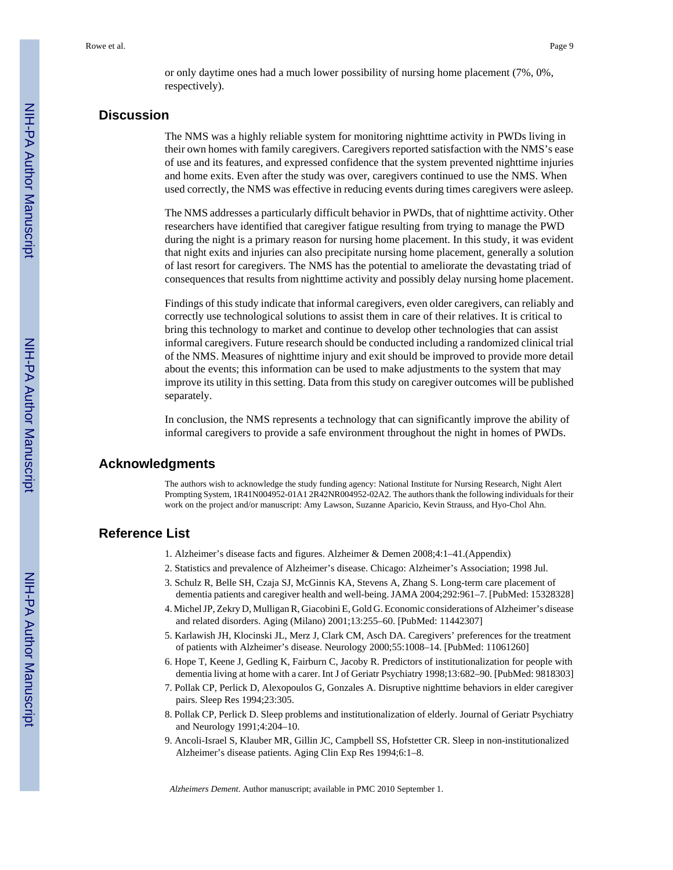or only daytime ones had a much lower possibility of nursing home placement (7%, 0%, respectively).

# **Discussion**

The NMS was a highly reliable system for monitoring nighttime activity in PWDs living in their own homes with family caregivers. Caregivers reported satisfaction with the NMS's ease of use and its features, and expressed confidence that the system prevented nighttime injuries and home exits. Even after the study was over, caregivers continued to use the NMS. When used correctly, the NMS was effective in reducing events during times caregivers were asleep.

The NMS addresses a particularly difficult behavior in PWDs, that of nighttime activity. Other researchers have identified that caregiver fatigue resulting from trying to manage the PWD during the night is a primary reason for nursing home placement. In this study, it was evident that night exits and injuries can also precipitate nursing home placement, generally a solution of last resort for caregivers. The NMS has the potential to ameliorate the devastating triad of consequences that results from nighttime activity and possibly delay nursing home placement.

Findings of this study indicate that informal caregivers, even older caregivers, can reliably and correctly use technological solutions to assist them in care of their relatives. It is critical to bring this technology to market and continue to develop other technologies that can assist informal caregivers. Future research should be conducted including a randomized clinical trial of the NMS. Measures of nighttime injury and exit should be improved to provide more detail about the events; this information can be used to make adjustments to the system that may improve its utility in this setting. Data from this study on caregiver outcomes will be published separately.

In conclusion, the NMS represents a technology that can significantly improve the ability of informal caregivers to provide a safe environment throughout the night in homes of PWDs.

# **Acknowledgments**

The authors wish to acknowledge the study funding agency: National Institute for Nursing Research, Night Alert Prompting System, 1R41N004952-01A1 2R42NR004952-02A2. The authors thank the following individuals for their work on the project and/or manuscript: Amy Lawson, Suzanne Aparicio, Kevin Strauss, and Hyo-Chol Ahn.

# **Reference List**

- 1. Alzheimer's disease facts and figures. Alzheimer & Demen 2008;4:1–41.(Appendix)
- 2. Statistics and prevalence of Alzheimer's disease. Chicago: Alzheimer's Association; 1998 Jul.
- 3. Schulz R, Belle SH, Czaja SJ, McGinnis KA, Stevens A, Zhang S. Long-term care placement of dementia patients and caregiver health and well-being. JAMA 2004;292:961–7. [PubMed: 15328328]
- 4. Michel JP, Zekry D, Mulligan R, Giacobini E, Gold G. Economic considerations of Alzheimer's disease and related disorders. Aging (Milano) 2001;13:255–60. [PubMed: 11442307]
- 5. Karlawish JH, Klocinski JL, Merz J, Clark CM, Asch DA. Caregivers' preferences for the treatment of patients with Alzheimer's disease. Neurology 2000;55:1008–14. [PubMed: 11061260]
- 6. Hope T, Keene J, Gedling K, Fairburn C, Jacoby R. Predictors of institutionalization for people with dementia living at home with a carer. Int J of Geriatr Psychiatry 1998;13:682–90. [PubMed: 9818303]
- 7. Pollak CP, Perlick D, Alexopoulos G, Gonzales A. Disruptive nighttime behaviors in elder caregiver pairs. Sleep Res 1994;23:305.
- 8. Pollak CP, Perlick D. Sleep problems and institutionalization of elderly. Journal of Geriatr Psychiatry and Neurology 1991;4:204–10.
- 9. Ancoli-Israel S, Klauber MR, Gillin JC, Campbell SS, Hofstetter CR. Sleep in non-institutionalized Alzheimer's disease patients. Aging Clin Exp Res 1994;6:1–8.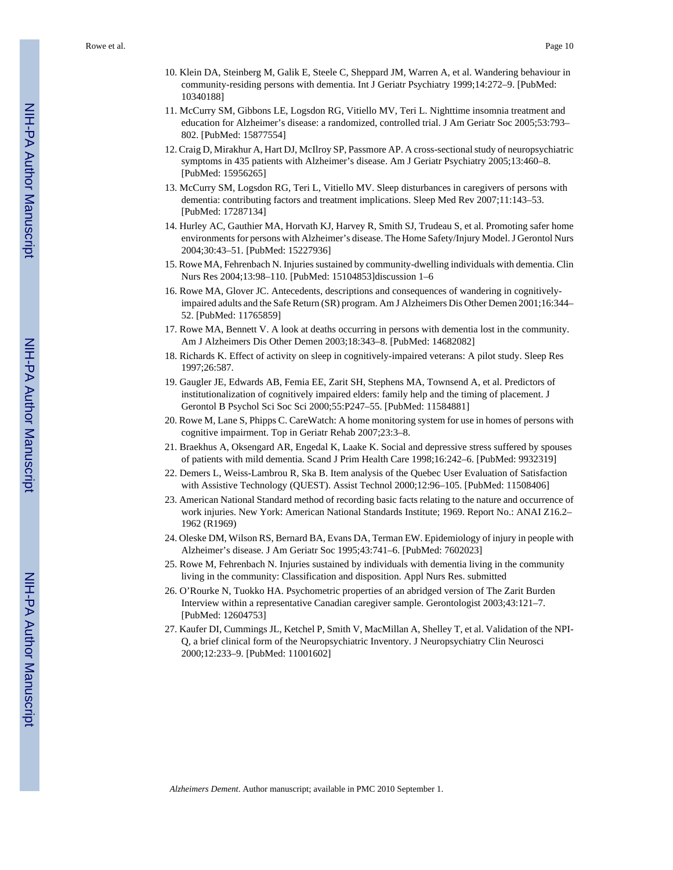- 10. Klein DA, Steinberg M, Galik E, Steele C, Sheppard JM, Warren A, et al. Wandering behaviour in community-residing persons with dementia. Int J Geriatr Psychiatry 1999;14:272–9. [PubMed: 10340188]
- 11. McCurry SM, Gibbons LE, Logsdon RG, Vitiello MV, Teri L. Nighttime insomnia treatment and education for Alzheimer's disease: a randomized, controlled trial. J Am Geriatr Soc 2005;53:793– 802. [PubMed: 15877554]
- 12. Craig D, Mirakhur A, Hart DJ, McIlroy SP, Passmore AP. A cross-sectional study of neuropsychiatric symptoms in 435 patients with Alzheimer's disease. Am J Geriatr Psychiatry 2005;13:460–8. [PubMed: 15956265]
- 13. McCurry SM, Logsdon RG, Teri L, Vitiello MV. Sleep disturbances in caregivers of persons with dementia: contributing factors and treatment implications. Sleep Med Rev 2007;11:143–53. [PubMed: 17287134]
- 14. Hurley AC, Gauthier MA, Horvath KJ, Harvey R, Smith SJ, Trudeau S, et al. Promoting safer home environments for persons with Alzheimer's disease. The Home Safety/Injury Model. J Gerontol Nurs 2004;30:43–51. [PubMed: 15227936]
- 15. Rowe MA, Fehrenbach N. Injuries sustained by community-dwelling individuals with dementia. Clin Nurs Res 2004;13:98–110. [PubMed: 15104853]discussion 1–6
- 16. Rowe MA, Glover JC. Antecedents, descriptions and consequences of wandering in cognitivelyimpaired adults and the Safe Return (SR) program. Am J Alzheimers Dis Other Demen 2001;16:344– 52. [PubMed: 11765859]
- 17. Rowe MA, Bennett V. A look at deaths occurring in persons with dementia lost in the community. Am J Alzheimers Dis Other Demen 2003;18:343–8. [PubMed: 14682082]
- 18. Richards K. Effect of activity on sleep in cognitively-impaired veterans: A pilot study. Sleep Res 1997;26:587.
- 19. Gaugler JE, Edwards AB, Femia EE, Zarit SH, Stephens MA, Townsend A, et al. Predictors of institutionalization of cognitively impaired elders: family help and the timing of placement. J Gerontol B Psychol Sci Soc Sci 2000;55:P247–55. [PubMed: 11584881]
- 20. Rowe M, Lane S, Phipps C. CareWatch: A home monitoring system for use in homes of persons with cognitive impairment. Top in Geriatr Rehab 2007;23:3–8.
- 21. Braekhus A, Oksengard AR, Engedal K, Laake K. Social and depressive stress suffered by spouses of patients with mild dementia. Scand J Prim Health Care 1998;16:242–6. [PubMed: 9932319]
- 22. Demers L, Weiss-Lambrou R, Ska B. Item analysis of the Quebec User Evaluation of Satisfaction with Assistive Technology (QUEST). Assist Technol 2000;12:96–105. [PubMed: 11508406]
- 23. American National Standard method of recording basic facts relating to the nature and occurrence of work injuries. New York: American National Standards Institute; 1969. Report No.: ANAI Z16.2– 1962 (R1969)
- 24. Oleske DM, Wilson RS, Bernard BA, Evans DA, Terman EW. Epidemiology of injury in people with Alzheimer's disease. J Am Geriatr Soc 1995;43:741–6. [PubMed: 7602023]
- 25. Rowe M, Fehrenbach N. Injuries sustained by individuals with dementia living in the community living in the community: Classification and disposition. Appl Nurs Res. submitted
- 26. O'Rourke N, Tuokko HA. Psychometric properties of an abridged version of The Zarit Burden Interview within a representative Canadian caregiver sample. Gerontologist 2003;43:121–7. [PubMed: 12604753]
- 27. Kaufer DI, Cummings JL, Ketchel P, Smith V, MacMillan A, Shelley T, et al. Validation of the NPI-Q, a brief clinical form of the Neuropsychiatric Inventory. J Neuropsychiatry Clin Neurosci 2000;12:233–9. [PubMed: 11001602]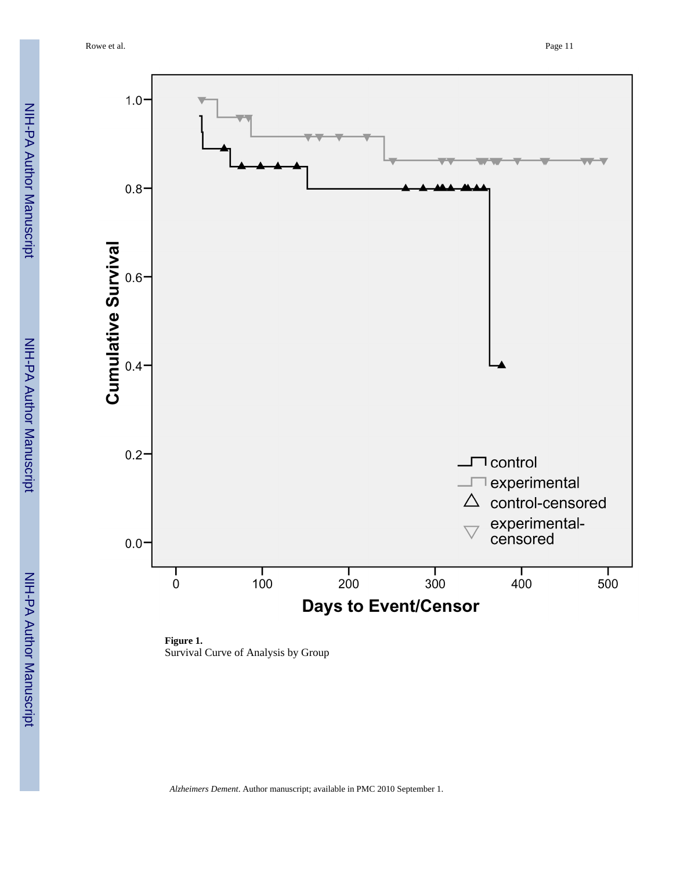

**Figure 1.** Survival Curve of Analysis by Group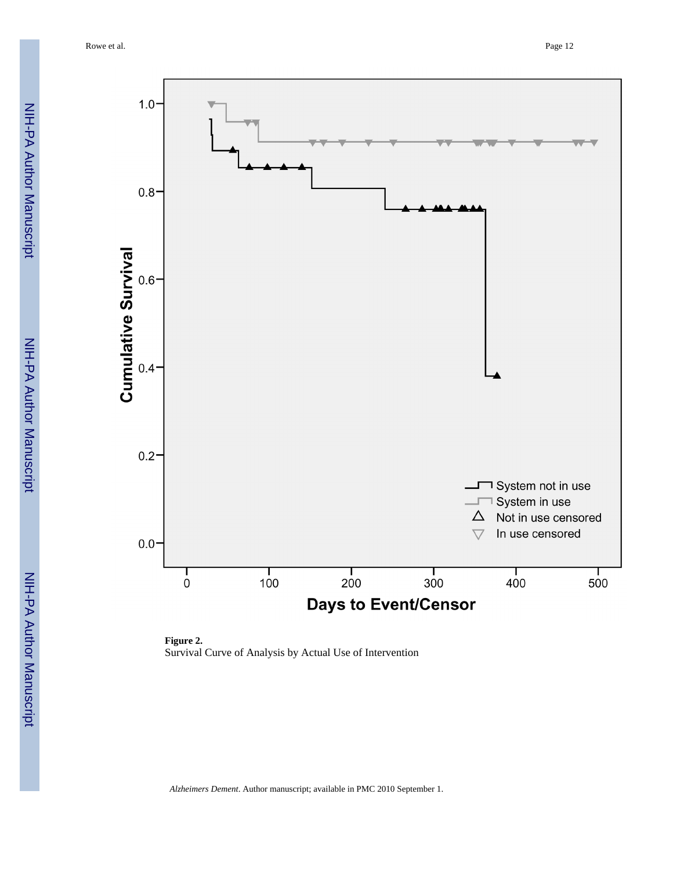Rowe et al. Page 12



**Figure 2.** Survival Curve of Analysis by Actual Use of Intervention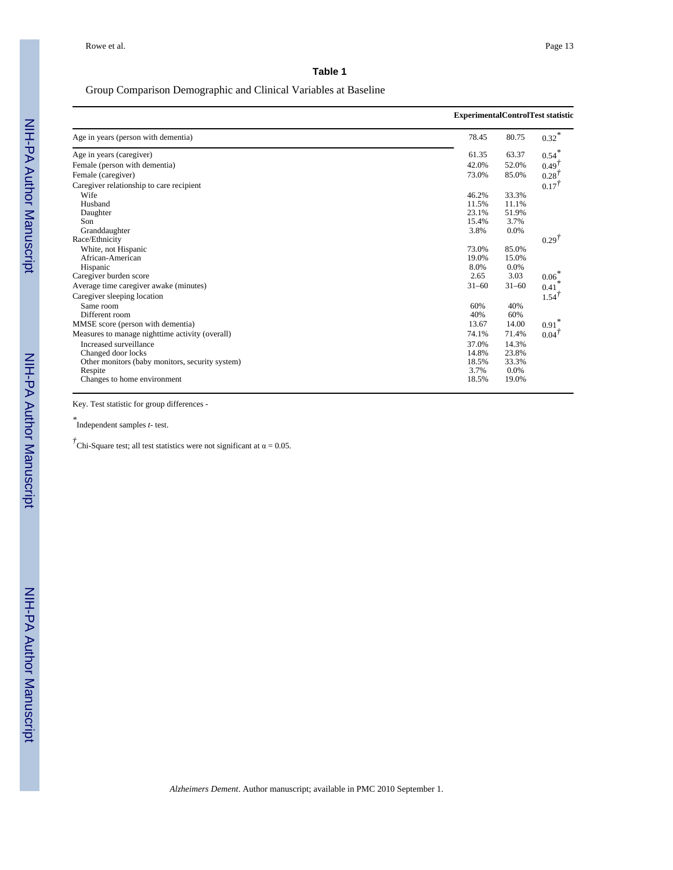# Group Comparison Demographic and Clinical Variables at Baseline

|                                                 | <b>ExperimentalControlTest statistic</b> |           |                     |
|-------------------------------------------------|------------------------------------------|-----------|---------------------|
| Age in years (person with dementia)             | 78.45                                    | 80.75     | $0.32$ <sup>*</sup> |
| Age in years (caregiver)                        | 61.35                                    | 63.37     | $0.54$ <sup>*</sup> |
| Female (person with dementia)                   | 42.0%                                    | 52.0%     | $0.49^{T}$          |
| Female (caregiver)                              | 73.0%                                    | 85.0%     | $0.28$ <sup>T</sup> |
| Caregiver relationship to care recipient        |                                          |           | $0.17^{T}$          |
| Wife                                            | 46.2%                                    | 33.3%     |                     |
| Husband                                         | 11.5%                                    | 11.1%     |                     |
| Daughter                                        | 23.1%                                    | 51.9%     |                     |
| Son                                             | 15.4%                                    | 3.7%      |                     |
| Granddaughter                                   | 3.8%                                     | 0.0%      |                     |
| Race/Ethnicity                                  |                                          |           | 0.29 <sup>T</sup>   |
| White, not Hispanic                             | 73.0%                                    | 85.0%     |                     |
| African-American                                | 19.0%                                    | 15.0%     |                     |
| Hispanic                                        | 8.0%                                     | 0.0%      |                     |
| Caregiver burden score                          | 2.65                                     | 3.03      | $0.06*$             |
| Average time caregiver awake (minutes)          | $31 - 60$                                | $31 - 60$ | 0.41                |
| Caregiver sleeping location                     |                                          |           | $1.54^{T}$          |
| Same room                                       | 60%                                      | 40%       |                     |
| Different room                                  | 40%                                      | 60%       |                     |
| MMSE score (person with dementia)               | 13.67                                    | 14.00     | $0.91$ <sup>*</sup> |
| Measures to manage nighttime activity (overall) | 74.1%                                    | 71.4%     | $0.04^{T}$          |
| Increased surveillance                          | 37.0%                                    | 14.3%     |                     |
| Changed door locks                              | 14.8%                                    | 23.8%     |                     |
| Other monitors (baby monitors, security system) | 18.5%                                    | 33.3%     |                     |
| Respite                                         | 3.7%                                     | 0.0%      |                     |
| Changes to home environment                     | 18.5%                                    | 19.0%     |                     |

Key. Test statistic for group differences -

*\** Independent samples *t*- test.

 $\vec{\tau}$ Chi-Square test; all test statistics were not significant at  $\alpha = 0.05$ .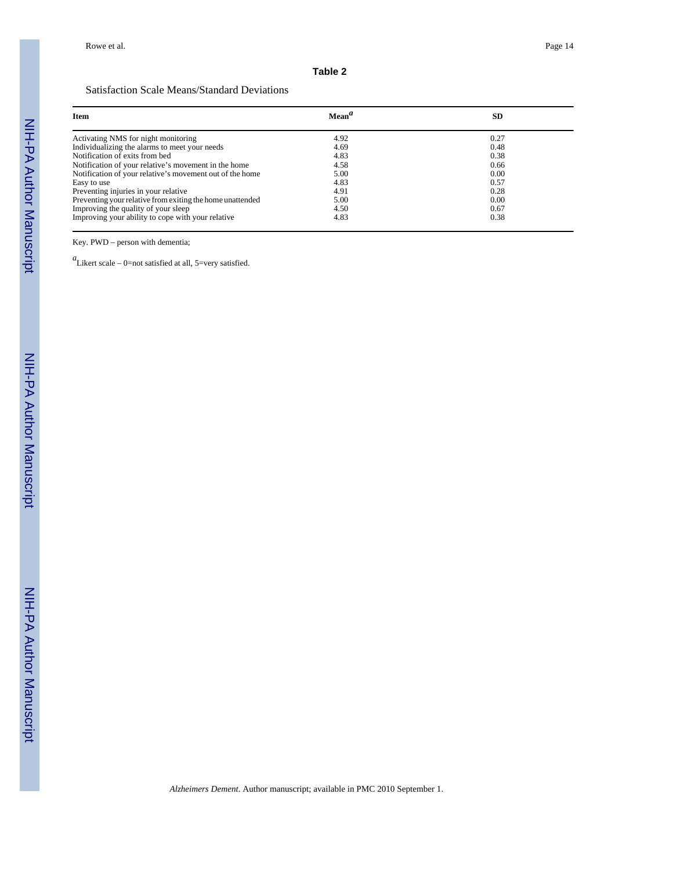#### **Table 2**

# Satisfaction Scale Means/Standard Deviations

| <b>Item</b>                                               | Mean <sup>a</sup> | <b>SD</b> |
|-----------------------------------------------------------|-------------------|-----------|
| Activating NMS for night monitoring                       | 4.92              | 0.27      |
| Individualizing the alarms to meet your needs             | 4.69              | 0.48      |
| Notification of exits from bed                            | 4.83              | 0.38      |
| Notification of your relative's movement in the home      | 4.58              | 0.66      |
| Notification of your relative's movement out of the home  | 5.00              | 0.00      |
| Easy to use                                               | 4.83              | 0.57      |
| Preventing injuries in your relative                      | 4.91              | 0.28      |
| Preventing your relative from exiting the home unattended | 5.00              | 0.00      |
| Improving the quality of your sleep                       | 4.50              | 0.67      |
| Improving your ability to cope with your relative         | 4.83              | 0.38      |

Key. PWD – person with dementia;

*a* Likert scale – 0=not satisfied at all, 5=very satisfied.